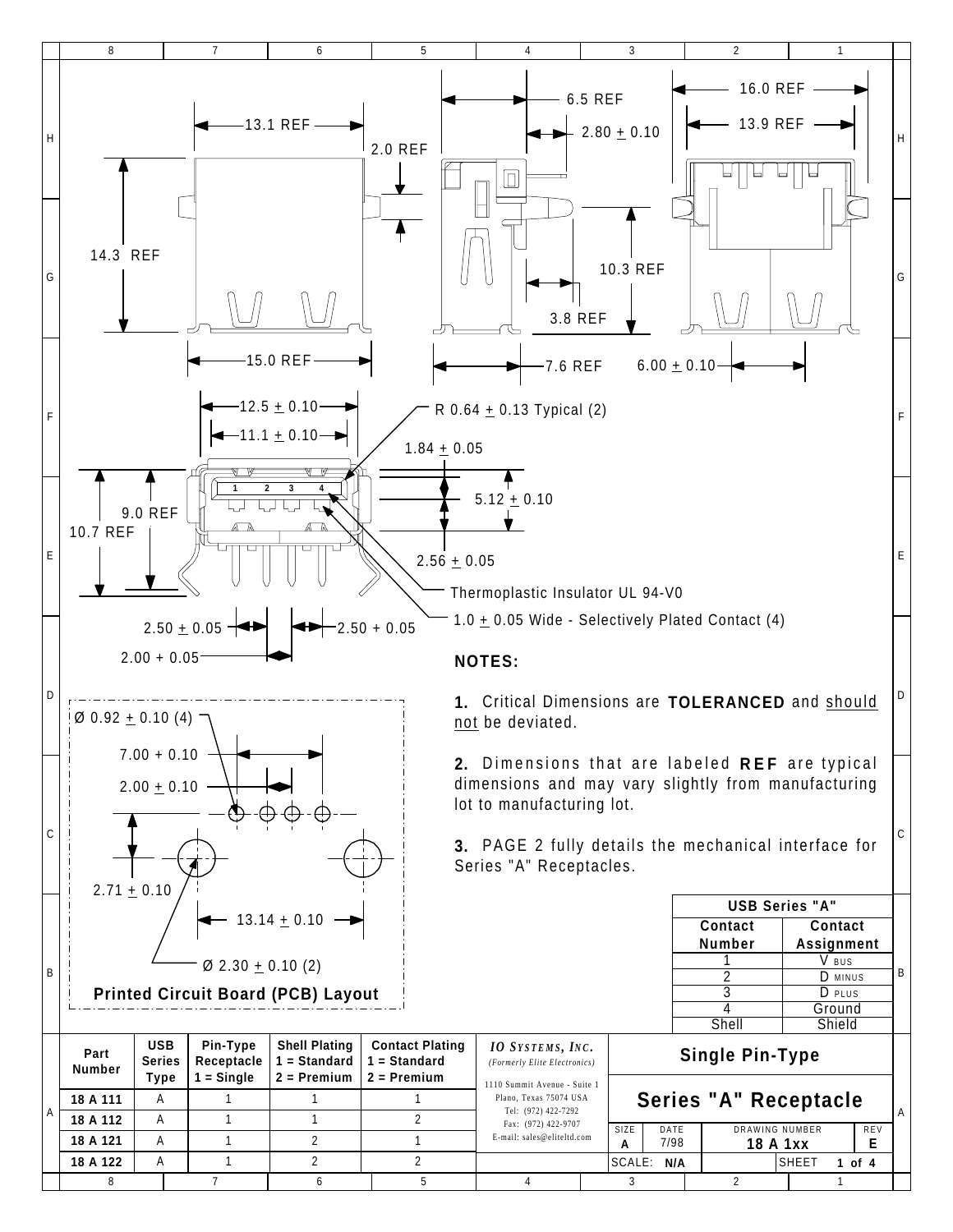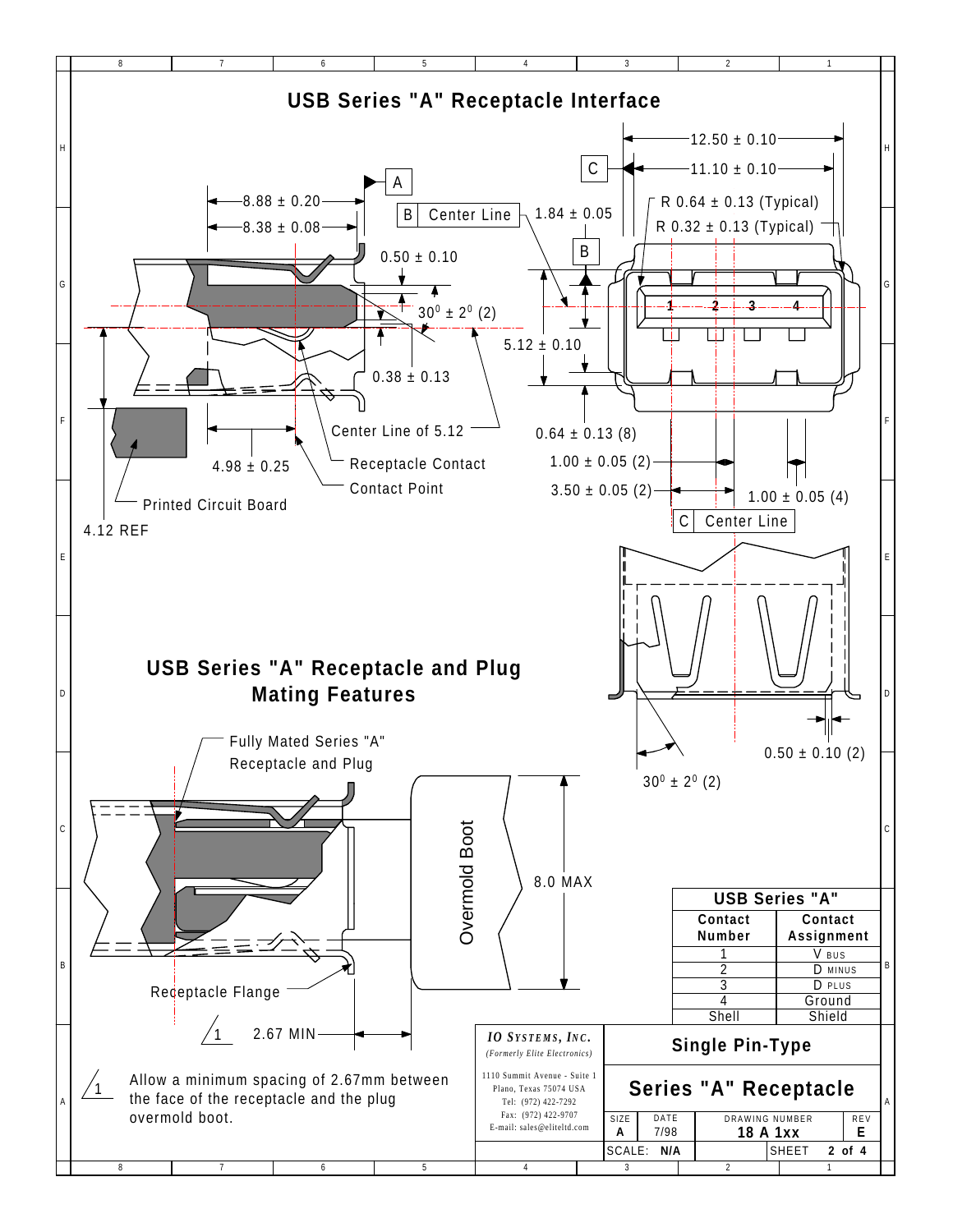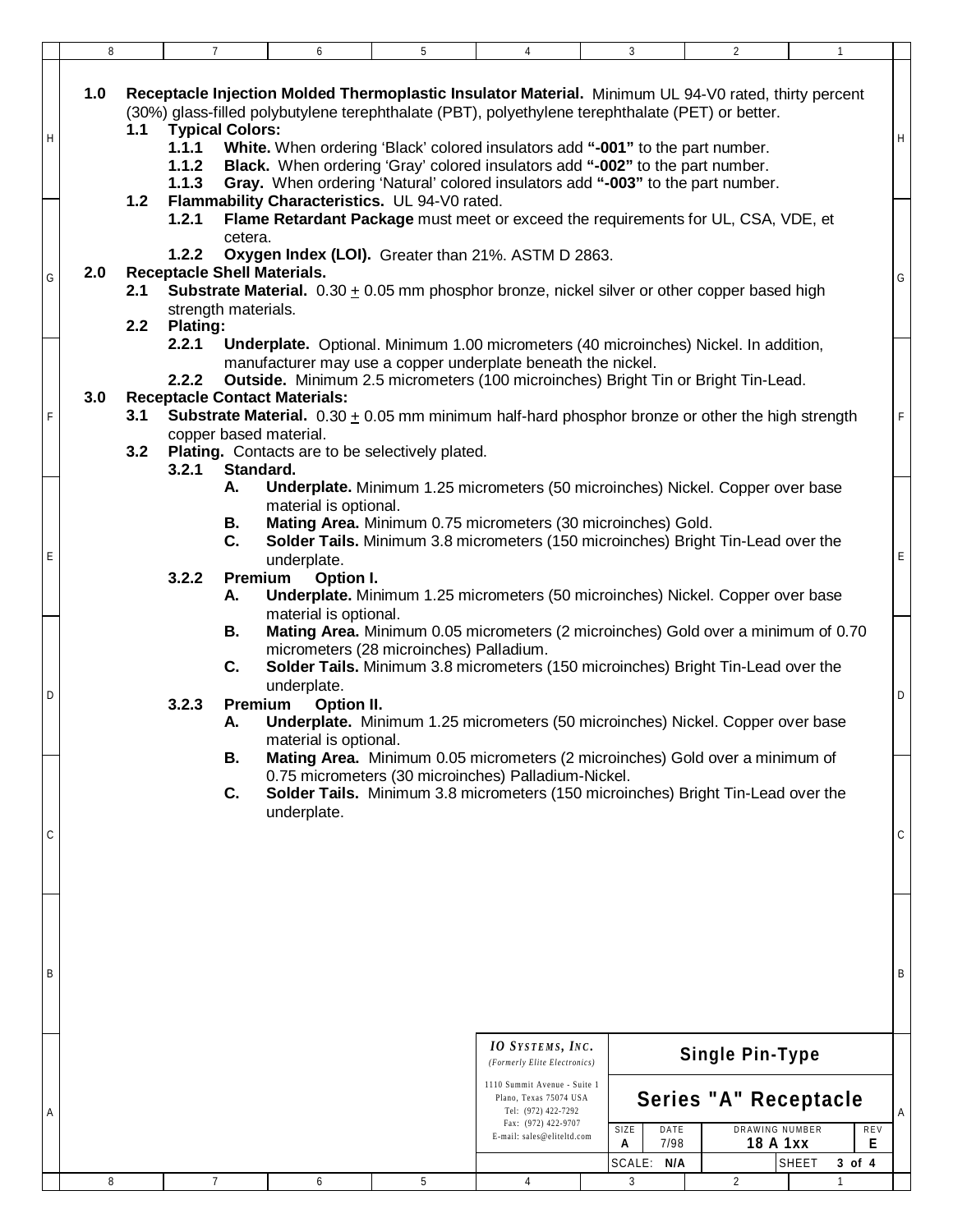|   | 8                   | $\overline{7}$                                                                                            | 6                                                                                                                                                                                                                                                                                                                                                                                                       | 5 | 4                                                                                                                                                                                             | 3                                       | $\overline{2}$                                                                                                                                                                                                                                                                                 | $\mathbf{1}$                       |   |
|---|---------------------|-----------------------------------------------------------------------------------------------------------|---------------------------------------------------------------------------------------------------------------------------------------------------------------------------------------------------------------------------------------------------------------------------------------------------------------------------------------------------------------------------------------------------------|---|-----------------------------------------------------------------------------------------------------------------------------------------------------------------------------------------------|-----------------------------------------|------------------------------------------------------------------------------------------------------------------------------------------------------------------------------------------------------------------------------------------------------------------------------------------------|------------------------------------|---|
| H | 1.0<br>1.1<br>$1.2$ | <b>Typical Colors:</b><br>1.1.1<br>1.1.2<br>1.1.3                                                         | (30%) glass-filled polybutylene terephthalate (PBT), polyethylene terephthalate (PET) or better.<br>White. When ordering 'Black' colored insulators add "-001" to the part number.<br>Black. When ordering 'Gray' colored insulators add "-002" to the part number.<br>Gray. When ordering 'Natural' colored insulators add "-003" to the part number.<br>Flammability Characteristics. UL 94-V0 rated. |   |                                                                                                                                                                                               |                                         | Receptacle Injection Molded Thermoplastic Insulator Material. Minimum UL 94-V0 rated, thirty percent                                                                                                                                                                                           |                                    | Η |
| G | 2.0<br>2.1<br>2.2   | 1.2.1<br>cetera.<br>1.2.2<br><b>Receptacle Shell Materials.</b><br>strength materials.<br><b>Plating:</b> | Oxygen Index (LOI). Greater than 21%. ASTM D 2863.                                                                                                                                                                                                                                                                                                                                                      |   |                                                                                                                                                                                               |                                         | Flame Retardant Package must meet or exceed the requirements for UL, CSA, VDE, et<br><b>Substrate Material.</b> $0.30 \pm 0.05$ mm phosphor bronze, nickel silver or other copper based high                                                                                                   |                                    | G |
| F | 3.0<br>3.1<br>3.2   | 2.2.1<br>2.2.2<br><b>Receptacle Contact Materials:</b><br>copper based material.<br>3.2.1<br>Standard.    | manufacturer may use a copper underplate beneath the nickel.<br>Plating. Contacts are to be selectively plated.                                                                                                                                                                                                                                                                                         |   |                                                                                                                                                                                               |                                         | <b>Underplate.</b> Optional. Minimum 1.00 micrometers (40 microinches) Nickel. In addition,<br>Outside. Minimum 2.5 micrometers (100 microinches) Bright Tin or Bright Tin-Lead.<br><b>Substrate Material.</b> $0.30 \pm 0.05$ mm minimum half-hard phosphor bronze or other the high strength |                                    |   |
| E |                     | Α.<br>В.<br>C.<br>3.2.2<br>А.                                                                             | material is optional.<br>Mating Area. Minimum 0.75 micrometers (30 microinches) Gold.<br>underplate.<br>Premium - Option I.                                                                                                                                                                                                                                                                             |   |                                                                                                                                                                                               |                                         | Underplate. Minimum 1.25 micrometers (50 microinches) Nickel. Copper over base<br>Solder Tails. Minimum 3.8 micrometers (150 microinches) Bright Tin-Lead over the<br>Underplate. Minimum 1.25 micrometers (50 microinches) Nickel. Copper over base                                           |                                    | Ε |
| D |                     | В.<br>C.<br>3.2.3<br>Α.                                                                                   | material is optional.<br>micrometers (28 microinches) Palladium.<br>underplate.<br><b>Premium</b> - Option II.<br>material is optional.                                                                                                                                                                                                                                                                 |   |                                                                                                                                                                                               |                                         | Mating Area. Minimum 0.05 micrometers (2 microinches) Gold over a minimum of 0.70<br>Solder Tails. Minimum 3.8 micrometers (150 microinches) Bright Tin-Lead over the<br>Underplate. Minimum 1.25 micrometers (50 microinches) Nickel. Copper over base                                        |                                    | D |
| C |                     | В.<br>C.                                                                                                  | 0.75 micrometers (30 microinches) Palladium-Nickel.<br>underplate.                                                                                                                                                                                                                                                                                                                                      |   |                                                                                                                                                                                               |                                         | Mating Area. Minimum 0.05 micrometers (2 microinches) Gold over a minimum of<br>Solder Tails. Minimum 3.8 micrometers (150 microinches) Bright Tin-Lead over the                                                                                                                               |                                    | C |
| B |                     |                                                                                                           |                                                                                                                                                                                                                                                                                                                                                                                                         |   |                                                                                                                                                                                               |                                         |                                                                                                                                                                                                                                                                                                |                                    | В |
| A |                     |                                                                                                           |                                                                                                                                                                                                                                                                                                                                                                                                         |   | <b>IO</b> SYSTEMS, INC.<br>(Formerly Elite Electronics)<br>1110 Summit Avenue - Suite 1<br>Plano, Texas 75074 USA<br>Tel: (972) 422-7292<br>Fax: (972) 422-9707<br>E-mail: sales@eliteltd.com | SIZE<br>DATE<br>7/98<br>Α<br>SCALE: N/A | <b>Single Pin-Type</b><br>Series "A" Receptacle<br>DRAWING NUMBER<br>18 A 1xx                                                                                                                                                                                                                  | REV<br>Е<br><b>SHEET</b><br>3 of 4 | Α |
|   | 8                   | 7                                                                                                         | 6                                                                                                                                                                                                                                                                                                                                                                                                       | 5 | 4                                                                                                                                                                                             | 3                                       | 2                                                                                                                                                                                                                                                                                              |                                    |   |
|   |                     |                                                                                                           |                                                                                                                                                                                                                                                                                                                                                                                                         |   |                                                                                                                                                                                               |                                         |                                                                                                                                                                                                                                                                                                |                                    |   |